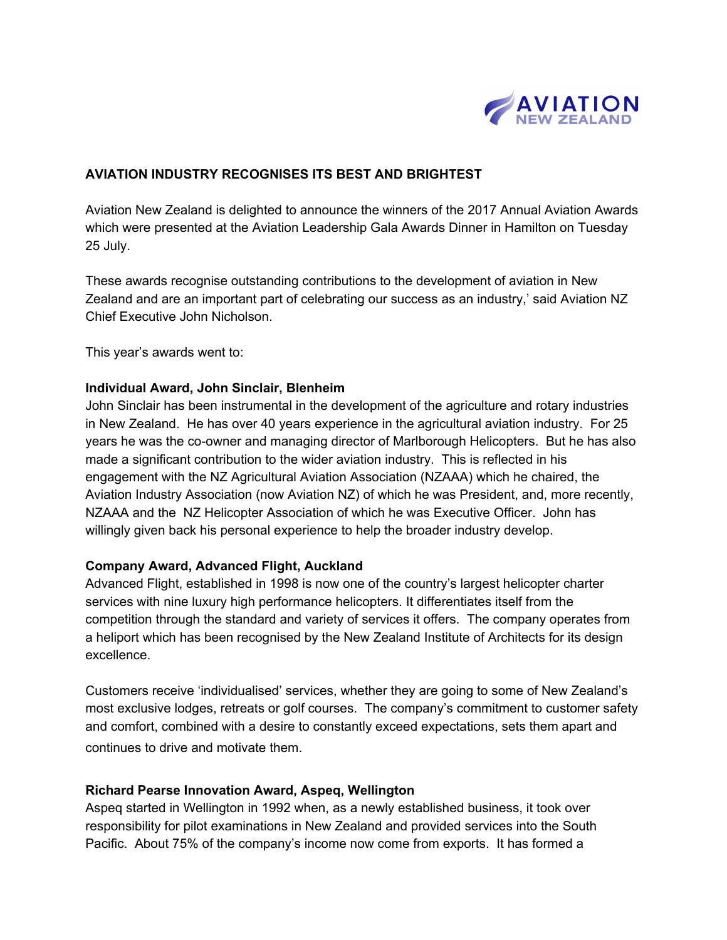

### **AVIATION INDUSTRY RECOGNISES ITS BEST AND BRIGHTEST**

Aviation New Zealand is delighted to announce the winners of the 2017 Annual Aviation Awards which were presented at the Aviation Leadership Gala Awards Dinner in Hamilton on Tuesday 25 July.

These awards recognise outstanding contributions to the development of aviation in New Zealand and are an important part of celebrating our success as an industry,' said Aviation NZ Chief Executive John Nicholson.

This year's awards went to:

#### **Individual Award, John Sinclair, Blenheim**

John Sinclair has been instrumental in the development of the agriculture and rotary industries in New Zealand. He has over 40 years experience in the agricultural aviation industry. For 25 years he was the co-owner and managing director of Marlborough Helicopters. But he has also made a significant contribution to the wider aviation industry. This is reflected in his engagement with the NZ Agricultural Aviation Association (NZAAA) which he chaired, the Aviation Industry Association (now Aviation NZ) of which he was President, and, more recently, NZAAA and the NZ Helicopter Association of which he was Executive Officer. John has willingly given back his personal experience to help the broader industry develop.

#### **Company Award, Advanced Flight, Auckland**

Advanced Flight, established in 1998 is now one of the country's largest helicopter charter services with nine luxury high performance helicopters. It differentiates itself from the competition through the standard and variety of services it offers. The company operates from a heliport which has been recognised by the New Zealand Institute of Architects for its design excellence.

Customers receive 'individualised' services, whether they are going to some of New Zealand's most exclusive lodges, retreats or golf courses. The company's commitment to customer safety and comfort, combined with a desire to constantly exceed expectations, sets them apart and continues to drive and motivate them.

#### **Richard Pearse Innovation Award, Aspeq, Wellington**

Aspeq started in Wellington in 1992 when, as a newly established business, it took over responsibility for pilot examinations in New Zealand and provided services into the South Pacific. About 75% of the company's income now come from exports. It has formed a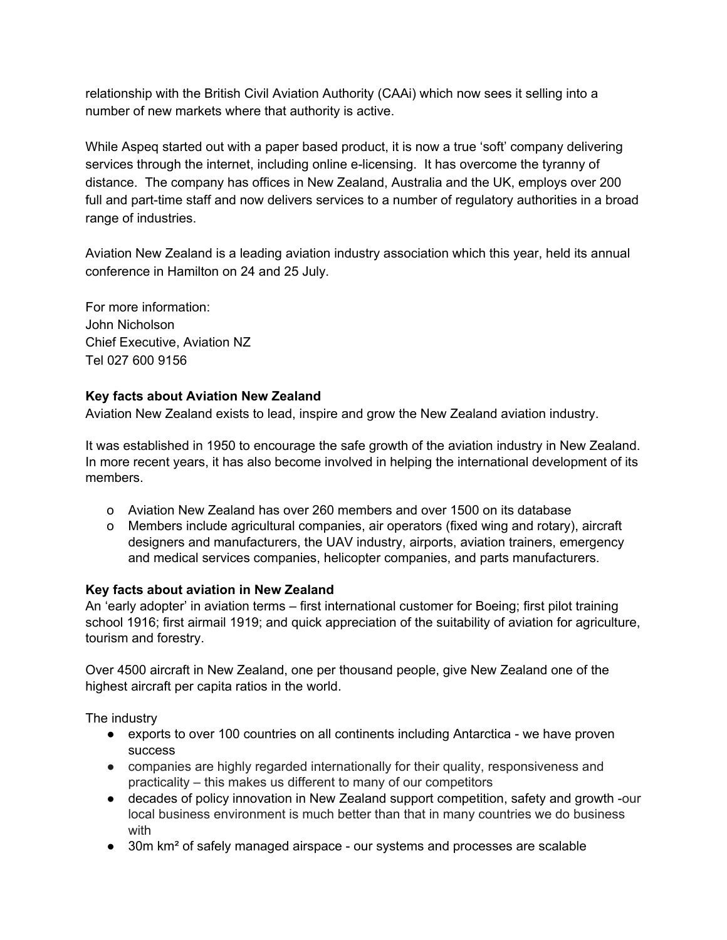relationship with the British Civil Aviation Authority (CAAi) which now sees it selling into a number of new markets where that authority is active.

While Aspeq started out with a paper based product, it is now a true 'soft' company delivering services through the internet, including online e-licensing. It has overcome the tyranny of distance. The company has offices in New Zealand, Australia and the UK, employs over 200 full and part-time staff and now delivers services to a number of regulatory authorities in a broad range of industries.

Aviation New Zealand is a leading aviation industry association which this year, held its annual conference in Hamilton on 24 and 25 July.

For more information: John Nicholson Chief Executive, Aviation NZ Tel 027 600 9156

# **Key facts about Aviation New Zealand**

Aviation New Zealand exists to lead, inspire and grow the New Zealand aviation industry.

It was established in 1950 to encourage the safe growth of the aviation industry in New Zealand. In more recent years, it has also become involved in helping the international development of its members.

- o Aviation New Zealand has over 260 members and over 1500 on its database
- o Members include agricultural companies, air operators (fixed wing and rotary), aircraft designers and manufacturers, the UAV industry, airports, aviation trainers, emergency and medical services companies, helicopter companies, and parts manufacturers.

## **Key facts about aviation in New Zealand**

An 'early adopter' in aviation terms – first international customer for Boeing; first pilot training school 1916; first airmail 1919; and quick appreciation of the suitability of aviation for agriculture, tourism and forestry.

Over 4500 aircraft in New Zealand, one per thousand people, give New Zealand one of the highest aircraft per capita ratios in the world.

The industry

- exports to over 100 countries on all continents including Antarctica we have proven success
- companies are highly regarded internationally for their quality, responsiveness and practicality – this makes us different to many of our competitors
- decades of policy innovation in New Zealand support competition, safety and growth -our local business environment is much better than that in many countries we do business with
- 30m km<sup>2</sup> of safely managed airspace our systems and processes are scalable